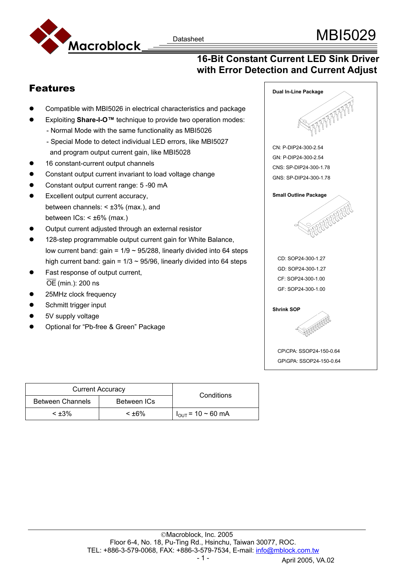

## **16-Bit Constant Current LED Sink Driver with Error Detection and Current Adjust**

## Features

- Compatible with MBI5026 in electrical characteristics and package
- Exploiting **Share-I-O™** technique to provide two operation modes:
	- Normal Mode with the same functionality as MBI5026
	- Special Mode to detect individual LED errors, like MBI5027 and program output current gain, like MBI5028
- 16 constant-current output channels
- Constant output current invariant to load voltage change
- Constant output current range: 5 -90 mA
- Excellent output current accuracy, between channels:  $< \pm 3\%$  (max.), and between  $ICs: < \pm 6\%$  (max.)
- Output current adjusted through an external resistor
- 128-step programmable output current gain for White Balance, low current band: gain =  $1/9 \sim 95/288$ , linearly divided into 64 steps high current band: gain =  $1/3 \sim 95/96$ , linearly divided into 64 steps
- Fast response of output current, OE (min.): 200 ns
- 25MHz clock frequency
- Schmitt trigger input
- 5V supply voltage
- Optional for "Pb-free & Green" Package



| <b>Current Accuracy</b> |             | Conditions                    |
|-------------------------|-------------|-------------------------------|
| <b>Between Channels</b> | Between ICs |                               |
| $<$ ±3%                 | $< +6\%$    | $I_{\text{OUT}}$ = 10 ~ 60 mA |